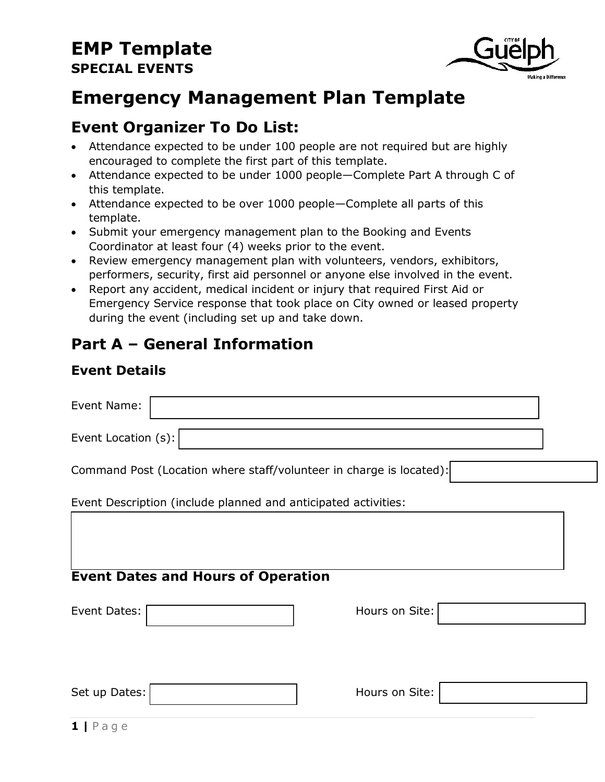

# **Emergency Management Plan Template**

### **Event Organizer To Do List:**

- Attendance expected to be under 100 people are not required but are highly encouraged to complete the first part of this template.
- Attendance expected to be under 1000 people—Complete Part A through C of this template.
- Attendance expected to be over 1000 people—Complete all parts of this template.
- Submit your emergency management plan to the Booking and Events Coordinator at least four (4) weeks prior to the event.
- Review emergency management plan with volunteers, vendors, exhibitors, performers, security, first aid personnel or anyone else involved in the event.
- Report any accident, medical incident or injury that required First Aid or Emergency Service response that took place on City owned or leased property during the event (including set up and take down.

### **Part A – General Information**

#### **Event Details**

| Event Name:         |                                                                |                                                                     |  |
|---------------------|----------------------------------------------------------------|---------------------------------------------------------------------|--|
| Event Location (s): |                                                                |                                                                     |  |
|                     |                                                                | Command Post (Location where staff/volunteer in charge is located): |  |
|                     | Event Description (include planned and anticipated activities: |                                                                     |  |
|                     | <b>Event Dates and Hours of Operation</b>                      |                                                                     |  |
| Event Dates:        |                                                                | Hours on Site:                                                      |  |
| Set up Dates:       |                                                                | Hours on Site:                                                      |  |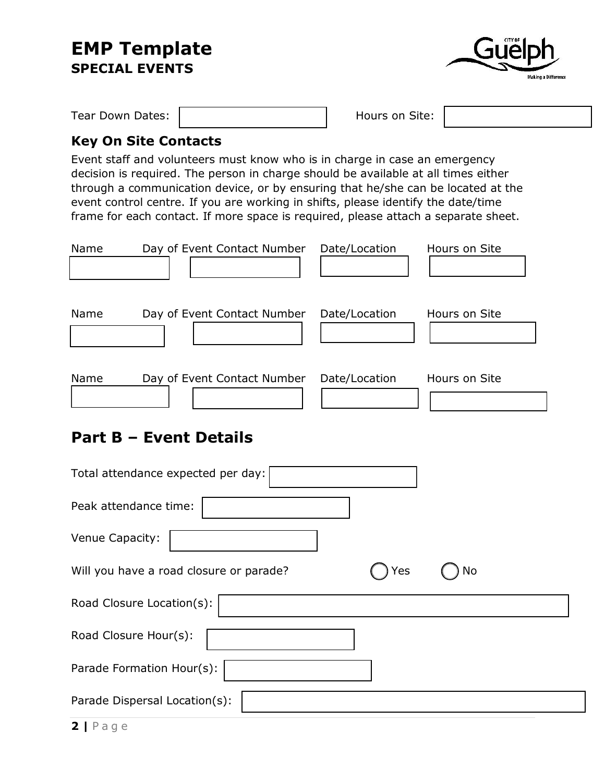

Tear Down Dates:  $\parallel$  Hours on Site:

#### **Key On Site Contacts**

Event staff and volunteers must know who is in charge in case an emergency decision is required. The person in charge should be available at all times either through a communication device, or by ensuring that he/she can be located at the event control centre. If you are working in shifts, please identify the date/time frame for each contact. If more space is required, please attach a separate sheet.

| Name | Day of Event Contact Number | Date/Location | Hours on Site |
|------|-----------------------------|---------------|---------------|
| Name | Day of Event Contact Number | Date/Location | Hours on Site |
| Name | Day of Event Contact Number | Date/Location | Hours on Site |

### **Part B – Event Details**

| Total attendance expected per day:                   |
|------------------------------------------------------|
| Peak attendance time:                                |
| Venue Capacity:                                      |
| Will you have a road closure or parade?<br>Yes<br>Νo |
| Road Closure Location(s):                            |
| Road Closure Hour(s):                                |
| Parade Formation Hour(s):                            |
| Parade Dispersal Location(s):                        |
|                                                      |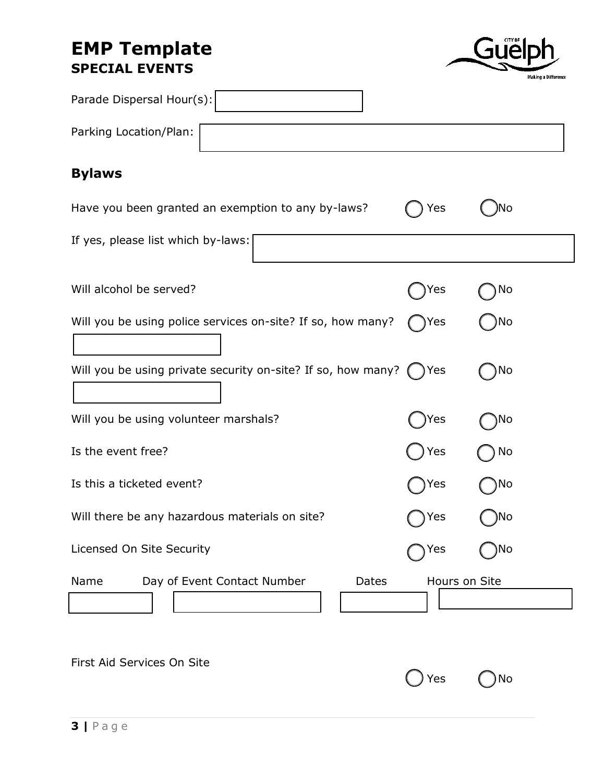

| Parade Dispersal Hour(s):                                    |     |               |
|--------------------------------------------------------------|-----|---------------|
| Parking Location/Plan:                                       |     |               |
| <b>Bylaws</b>                                                |     |               |
| Have you been granted an exemption to any by-laws?           | Yes | )No           |
| If yes, please list which by-laws:                           |     |               |
| Will alcohol be served?                                      | Yes | No            |
| Will you be using police services on-site? If so, how many?  | Yes | No            |
| Will you be using private security on-site? If so, how many? | Yes | No            |
| Will you be using volunteer marshals?                        | Yes | ۱No           |
| Is the event free?                                           | Yes | No            |
| Is this a ticketed event?                                    | Yes | No            |
| Will there be any hazardous materials on site?               | Yes | )No           |
| Licensed On Site Security                                    | Yes | ٧о            |
| Name<br>Day of Event Contact Number<br>Dates                 |     | Hours on Site |

First Aid Services On Site

| ) Yes | MC) No |
|-------|--------|
|-------|--------|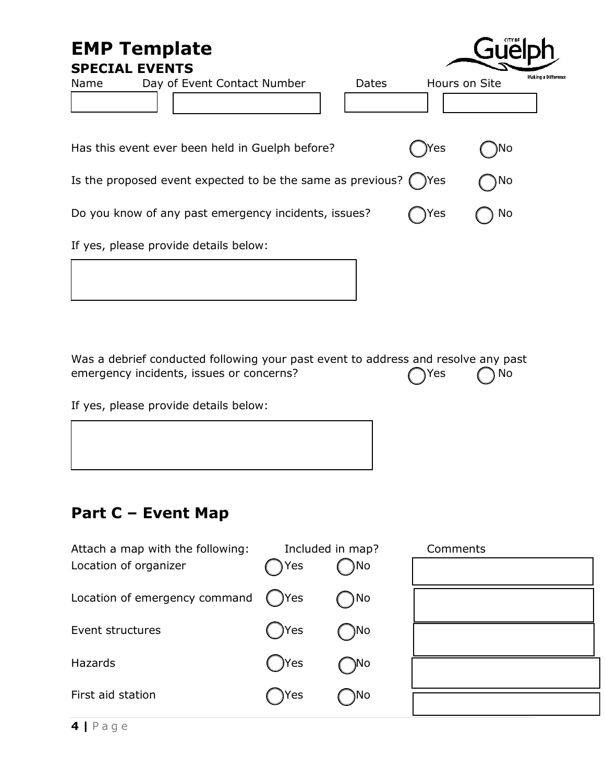# **EMP Template**

**SPECIAL EVENTS**

| SPECIAL EVENIS                                                         |       |      |               |                            |
|------------------------------------------------------------------------|-------|------|---------------|----------------------------|
| Name<br>Day of Event Contact Number                                    | Dates |      | Hours on Site | <b>Making a Difference</b> |
|                                                                        |       |      |               |                            |
| Has this event ever been held in Guelph before?                        |       | )Yes | )No           |                            |
| Is the proposed event expected to be the same as previous? $($ $)$ Yes |       |      | No)           |                            |
| Do you know of any past emergency incidents, issues?                   |       | )Yes | No            |                            |
| If yes, please provide details below:                                  |       |      |               |                            |

Guelph

Was a debrief conducted following your past event to address and resolve any past emergency incidents, issues or concerns?  $\bigcap$  Yes  $\bigcap$  No

If yes, please provide details below:

### **Part C – Event Map**

| Attach a map with the following:<br>Location of organizer | Yes    | Included in map?<br>No) | Comments |
|-----------------------------------------------------------|--------|-------------------------|----------|
| Location of emergency command                             | )Yes   | $\n  n$                 |          |
| Event structures                                          | ( )Yes | )No                     |          |
| <b>Hazards</b>                                            | ( )Yes | )No                     |          |
| First aid station                                         | )Yes   | )No                     |          |
|                                                           |        |                         |          |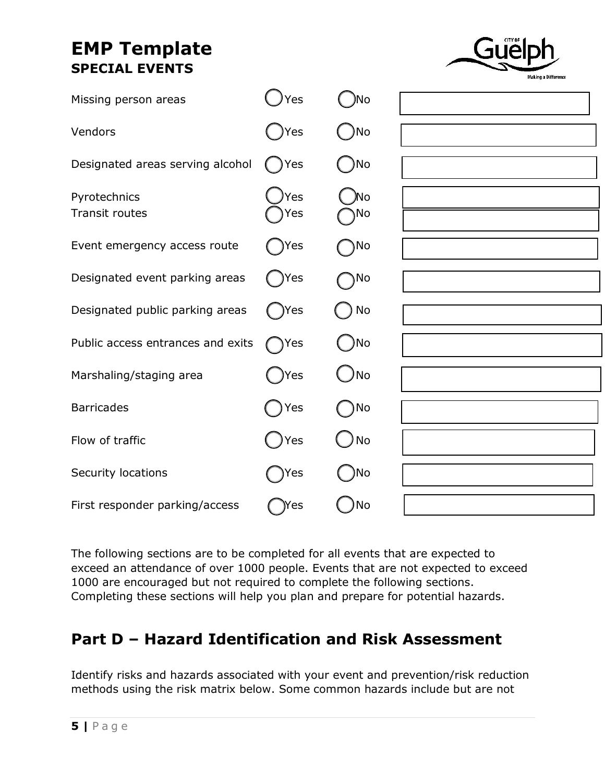

| Missing person areas                  | Yes        | )No       |  |
|---------------------------------------|------------|-----------|--|
| Vendors                               | Yes        | No        |  |
| Designated areas serving alcohol      | Yes        | )No       |  |
| Pyrotechnics<br><b>Transit routes</b> | Yes<br>Yes | )No<br>No |  |
| Event emergency access route          | Yes        | No        |  |
| Designated event parking areas        | )Yes       | )No       |  |
| Designated public parking areas       | )Yes       | No        |  |
| Public access entrances and exits     | ◯ Yes      | )No       |  |
| Marshaling/staging area               | Yes        | )No       |  |
| <b>Barricades</b>                     | Yes        | No        |  |
| Flow of traffic                       | Yes        | No        |  |
| Security locations                    | Yes        | ۱No       |  |
| First responder parking/access        | )Yes       | No        |  |

The following sections are to be completed for all events that are expected to exceed an attendance of over 1000 people. Events that are not expected to exceed 1000 are encouraged but not required to complete the following sections. Completing these sections will help you plan and prepare for potential hazards.

### **Part D – Hazard Identification and Risk Assessment**

Identify risks and hazards associated with your event and prevention/risk reduction methods using the risk matrix below. Some common hazards include but are not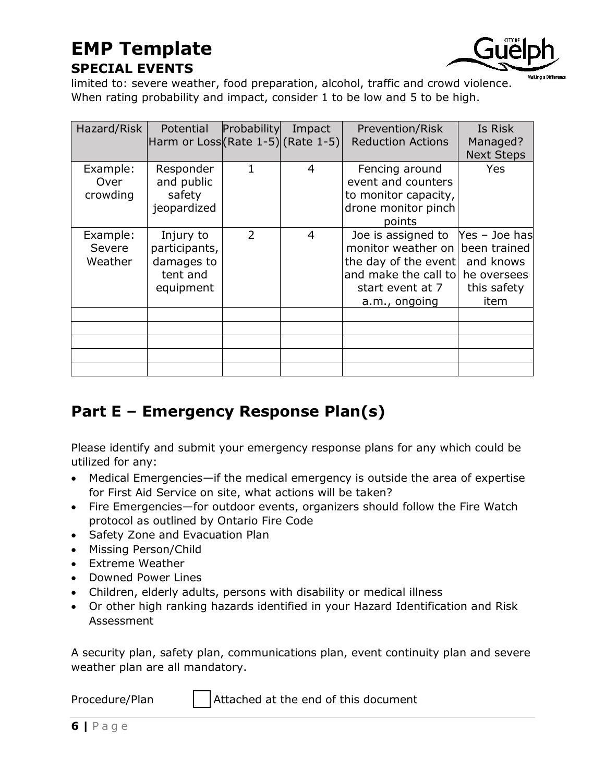

limited to: severe weather, food preparation, alcohol, traffic and crowd violence. When rating probability and impact, consider 1 to be low and 5 to be high.

| Hazard/Risk                   | Potential<br>Harm or Loss (Rate 1-5) (Rate 1-5)                   | Probability | Impact | Prevention/Risk<br><b>Reduction Actions</b>                                                                                   | Is Risk                                                                          |
|-------------------------------|-------------------------------------------------------------------|-------------|--------|-------------------------------------------------------------------------------------------------------------------------------|----------------------------------------------------------------------------------|
|                               |                                                                   |             |        |                                                                                                                               | Managed?<br><b>Next Steps</b>                                                    |
| Example:<br>Over<br>crowding  | Responder<br>and public<br>safety<br>jeopardized                  | 1           | 4      | Fencing around<br>event and counters<br>to monitor capacity,<br>drone monitor pinch<br>points                                 | <b>Yes</b>                                                                       |
| Example:<br>Severe<br>Weather | Injury to<br>participants,<br>damages to<br>tent and<br>equipment | 2           | 4      | Joe is assigned to<br>monitor weather on<br>the day of the event<br>and make the call to<br>start event at 7<br>a.m., ongoing | Yes - Joe has<br>been trained<br>and knows<br>he oversees<br>this safety<br>item |
|                               |                                                                   |             |        |                                                                                                                               |                                                                                  |
|                               |                                                                   |             |        |                                                                                                                               |                                                                                  |
|                               |                                                                   |             |        |                                                                                                                               |                                                                                  |

# **Part E – Emergency Response Plan(s)**

Please identify and submit your emergency response plans for any which could be utilized for any:

- Medical Emergencies—if the medical emergency is outside the area of expertise for First Aid Service on site, what actions will be taken?
- Fire Emergencies—for outdoor events, organizers should follow the Fire Watch protocol as outlined by Ontario Fire Code
- Safety Zone and Evacuation Plan
- Missing Person/Child
- Extreme Weather
- Downed Power Lines
- Children, elderly adults, persons with disability or medical illness
- Or other high ranking hazards identified in your Hazard Identification and Risk Assessment

A security plan, safety plan, communications plan, event continuity plan and severe weather plan are all mandatory.

Procedure/Plan  $\parallel$  Attached at the end of this document